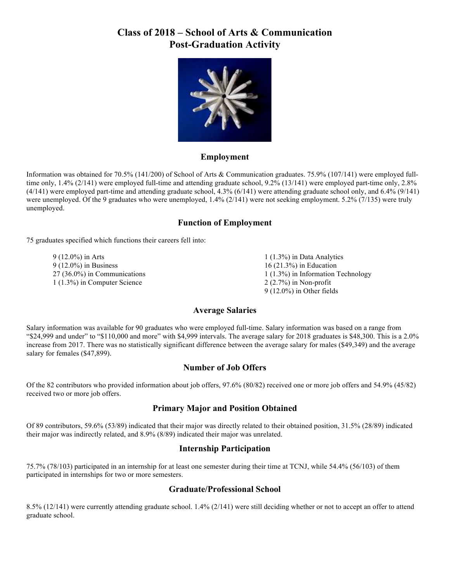# **Class of 2018 – School of Arts & Communication Post-Graduation Activity**



#### **Employment**

Information was obtained for 70.5% (141/200) of School of Arts & Communication graduates. 75.9% (107/141) were employed fulltime only, 1.4% (2/141) were employed full-time and attending graduate school, 9.2% (13/141) were employed part-time only, 2.8% (4/141) were employed part-time and attending graduate school, 4.3% (6/141) were attending graduate school only, and 6.4% (9/141) were unemployed. Of the 9 graduates who were unemployed, 1.4% (2/141) were not seeking employment. 5.2% (7/135) were truly unemployed.

## **Function of Employment**

75 graduates specified which functions their careers fell into:

9 (12.0%) in Arts 9 (12.0%) in Business 27 (36.0%) in Communications 1 (1.3%) in Computer Science

1 (1.3%) in Data Analytics 16 (21.3%) in Education 1 (1.3%) in Information Technology 2 (2.7%) in Non-profit 9 (12.0%) in Other fields

## **Average Salaries**

Salary information was available for 90 graduates who were employed full-time. Salary information was based on a range from "\$24,999 and under" to "\$110,000 and more" with \$4,999 intervals. The average salary for 2018 graduates is \$48,300. This is a 2.0% increase from 2017. There was no statistically significant difference between the average salary for males (\$49,349) and the average salary for females (\$47,899).

## **Number of Job Offers**

Of the 82 contributors who provided information about job offers, 97.6% (80/82) received one or more job offers and 54.9% (45/82) received two or more job offers.

## **Primary Major and Position Obtained**

Of 89 contributors, 59.6% (53/89) indicated that their major was directly related to their obtained position, 31.5% (28/89) indicated their major was indirectly related, and 8.9% (8/89) indicated their major was unrelated.

#### **Internship Participation**

75.7% (78/103) participated in an internship for at least one semester during their time at TCNJ, while 54.4% (56/103) of them participated in internships for two or more semesters.

## **Graduate/Professional School**

8.5% (12/141) were currently attending graduate school. 1.4% (2/141) were still deciding whether or not to accept an offer to attend graduate school.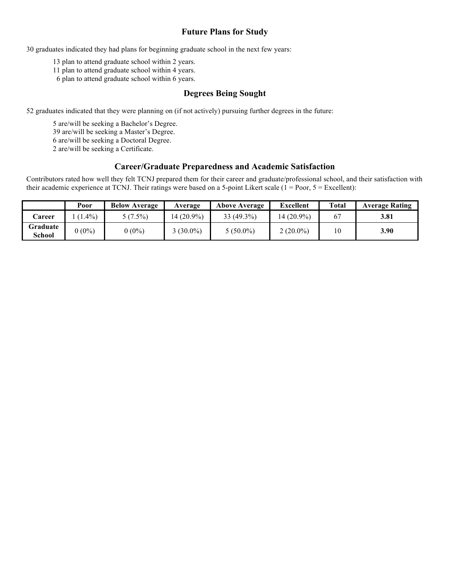# **Future Plans for Study**

30 graduates indicated they had plans for beginning graduate school in the next few years:

13 plan to attend graduate school within 2 years.

11 plan to attend graduate school within 4 years.

6 plan to attend graduate school within 6 years.

#### **Degrees Being Sought**

52 graduates indicated that they were planning on (if not actively) pursuing further degrees in the future:

5 are/will be seeking a Bachelor's Degree.

39 are/will be seeking a Master's Degree.

6 are/will be seeking a Doctoral Degree.

2 are/will be seeking a Certificate.

#### **Career/Graduate Preparedness and Academic Satisfaction**

Contributors rated how well they felt TCNJ prepared them for their career and graduate/professional school, and their satisfaction with their academic experience at TCNJ. Their ratings were based on a 5-point Likert scale  $(1 = Poor, 5 = Excellent)$ :

|                    | Poor     | <b>Below Average</b> | Average    | <b>Above Average</b> | <b>Excellent</b> | <b>Total</b> | <b>Average Rating</b> |
|--------------------|----------|----------------------|------------|----------------------|------------------|--------------|-----------------------|
| <b>Career</b>      | $1.4\%)$ | $1.5\%$              | 14 (20.9%) | $33(49.3\%)$         | $14(20.9\%)$     | 67           | 3.81                  |
| Graduate<br>School | $0(0\%)$ | $0(0\%)$             | $(30.0\%)$ | $5(50.0\%)$          | $2(20.0\%)$      | 10           | 3.90                  |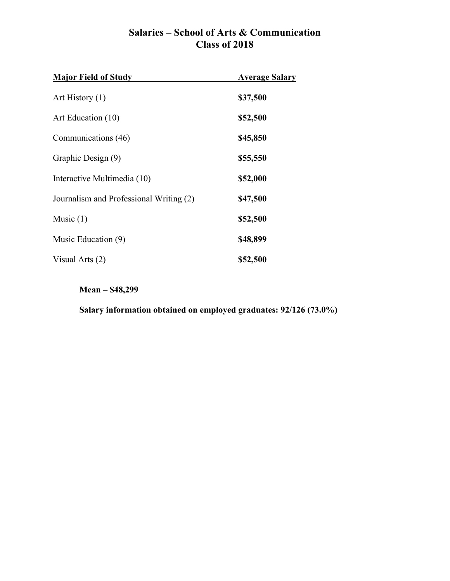# **Salaries – School of Arts & Communication Class of 2018**

| <b>Major Field of Study</b>             | <b>Average Salary</b> |  |
|-----------------------------------------|-----------------------|--|
| Art History $(1)$                       | \$37,500              |  |
| Art Education (10)                      | \$52,500              |  |
| Communications (46)                     | \$45,850              |  |
| Graphic Design (9)                      | \$55,550              |  |
| Interactive Multimedia (10)             | \$52,000              |  |
| Journalism and Professional Writing (2) | \$47,500              |  |
| Music $(1)$                             | \$52,500              |  |
| Music Education (9)                     | \$48,899              |  |
| Visual Arts (2)                         | \$52,500              |  |

**Mean – \$48,299**

**Salary information obtained on employed graduates: 92/126 (73.0%)**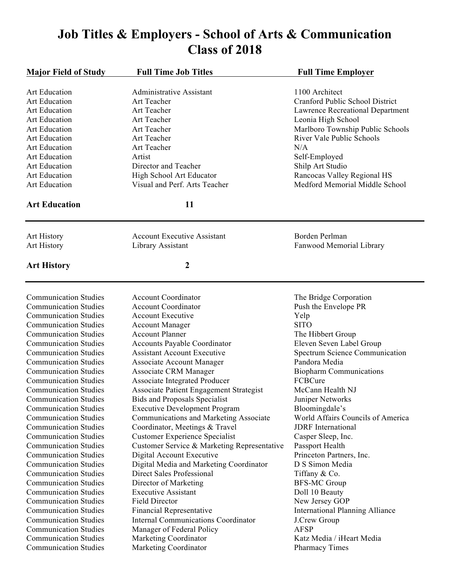# **Job Titles & Employers - School of Arts & Communication Class of 2018**

| <b>Major Field of Study</b><br><b>Full Time Job Titles</b><br><b>Full Time Employer</b><br>1100 Architect<br><b>Art Education</b><br>Administrative Assistant<br>Cranford Public School District<br><b>Art Education</b><br>Art Teacher<br><b>Art Education</b><br>Art Teacher<br>Lawrence Recreational Department<br><b>Art Education</b><br>Art Teacher<br>Leonia High School<br>Marlboro Township Public Schools<br><b>Art Education</b><br>Art Teacher<br>River Vale Public Schools<br><b>Art Education</b><br>Art Teacher<br><b>Art Education</b><br>Art Teacher<br>N/A<br><b>Art Education</b><br>Artist<br>Self-Employed<br>Shilp Art Studio<br><b>Art Education</b><br>Director and Teacher<br><b>Art Education</b><br>High School Art Educator<br>Rancocas Valley Regional HS<br><b>Art Education</b><br>Visual and Perf. Arts Teacher<br>Medford Memorial Middle School<br><b>Art Education</b><br>11<br>Borden Perlman<br><b>Account Executive Assistant</b><br>Art History<br>Library Assistant<br>Fanwood Memorial Library<br><b>Art History</b><br>2<br><b>Art History</b><br><b>Account Coordinator</b><br><b>Communication Studies</b><br>The Bridge Corporation<br><b>Communication Studies</b><br><b>Account Coordinator</b><br>Push the Envelope PR<br><b>Communication Studies</b><br><b>Account Executive</b><br>Yelp<br><b>SITO</b><br><b>Communication Studies</b><br><b>Account Manager</b><br><b>Communication Studies</b><br><b>Account Planner</b><br>The Hibbert Group<br><b>Communication Studies</b><br>Accounts Payable Coordinator<br>Eleven Seven Label Group<br><b>Communication Studies</b><br><b>Assistant Account Executive</b><br><b>Spectrum Science Communication</b><br><b>Communication Studies</b><br><b>Associate Account Manager</b><br>Pandora Media<br><b>Communication Studies</b><br>Associate CRM Manager<br><b>Biopharm Communications</b><br>Associate Integrated Producer<br>FCBCure<br><b>Communication Studies</b><br>Associate Patient Engagement Strategist<br>McCann Health NJ<br><b>Communication Studies</b><br>Juniper Networks<br><b>Communication Studies</b><br><b>Bids and Proposals Specialist</b><br><b>Executive Development Program</b><br>Bloomingdale's<br><b>Communication Studies</b><br>World Affairs Councils of America<br><b>Communication Studies</b><br>Communications and Marketing Associate<br>Coordinator, Meetings & Travel<br><b>Communication Studies</b><br><b>JDRF</b> International<br><b>Customer Experience Specialist</b><br><b>Communication Studies</b><br>Casper Sleep, Inc.<br><b>Communication Studies</b><br>Customer Service & Marketing Representative<br>Passport Health<br><b>Communication Studies</b><br>Digital Account Executive<br>Princeton Partners, Inc.<br>D S Simon Media<br><b>Communication Studies</b><br>Digital Media and Marketing Coordinator<br>Direct Sales Professional<br><b>Communication Studies</b><br>Tiffany & Co.<br><b>Communication Studies</b><br>Director of Marketing<br><b>BFS-MC Group</b><br><b>Communication Studies</b><br>Doll 10 Beauty<br><b>Executive Assistant</b><br><b>Communication Studies</b><br><b>Field Director</b><br>New Jersey GOP<br><b>Communication Studies</b><br><b>Financial Representative</b><br><b>International Planning Alliance</b><br><b>Internal Communications Coordinator</b><br><b>Communication Studies</b><br>J.Crew Group<br><b>Communication Studies</b><br>Manager of Federal Policy<br><b>AFSP</b> |                              |                       |                           |
|--------------------------------------------------------------------------------------------------------------------------------------------------------------------------------------------------------------------------------------------------------------------------------------------------------------------------------------------------------------------------------------------------------------------------------------------------------------------------------------------------------------------------------------------------------------------------------------------------------------------------------------------------------------------------------------------------------------------------------------------------------------------------------------------------------------------------------------------------------------------------------------------------------------------------------------------------------------------------------------------------------------------------------------------------------------------------------------------------------------------------------------------------------------------------------------------------------------------------------------------------------------------------------------------------------------------------------------------------------------------------------------------------------------------------------------------------------------------------------------------------------------------------------------------------------------------------------------------------------------------------------------------------------------------------------------------------------------------------------------------------------------------------------------------------------------------------------------------------------------------------------------------------------------------------------------------------------------------------------------------------------------------------------------------------------------------------------------------------------------------------------------------------------------------------------------------------------------------------------------------------------------------------------------------------------------------------------------------------------------------------------------------------------------------------------------------------------------------------------------------------------------------------------------------------------------------------------------------------------------------------------------------------------------------------------------------------------------------------------------------------------------------------------------------------------------------------------------------------------------------------------------------------------------------------------------------------------------------------------------------------------------------------------------------------------------------------------------------------------------------------------------------------------------------------------------------------------------------------------------------------------------------------------------------------------------------------------------------------------------------------------------------------------------------------------------------------------------------------------------|------------------------------|-----------------------|---------------------------|
|                                                                                                                                                                                                                                                                                                                                                                                                                                                                                                                                                                                                                                                                                                                                                                                                                                                                                                                                                                                                                                                                                                                                                                                                                                                                                                                                                                                                                                                                                                                                                                                                                                                                                                                                                                                                                                                                                                                                                                                                                                                                                                                                                                                                                                                                                                                                                                                                                                                                                                                                                                                                                                                                                                                                                                                                                                                                                                                                                                                                                                                                                                                                                                                                                                                                                                                                                                                                                                                                                      |                              |                       |                           |
|                                                                                                                                                                                                                                                                                                                                                                                                                                                                                                                                                                                                                                                                                                                                                                                                                                                                                                                                                                                                                                                                                                                                                                                                                                                                                                                                                                                                                                                                                                                                                                                                                                                                                                                                                                                                                                                                                                                                                                                                                                                                                                                                                                                                                                                                                                                                                                                                                                                                                                                                                                                                                                                                                                                                                                                                                                                                                                                                                                                                                                                                                                                                                                                                                                                                                                                                                                                                                                                                                      |                              |                       |                           |
|                                                                                                                                                                                                                                                                                                                                                                                                                                                                                                                                                                                                                                                                                                                                                                                                                                                                                                                                                                                                                                                                                                                                                                                                                                                                                                                                                                                                                                                                                                                                                                                                                                                                                                                                                                                                                                                                                                                                                                                                                                                                                                                                                                                                                                                                                                                                                                                                                                                                                                                                                                                                                                                                                                                                                                                                                                                                                                                                                                                                                                                                                                                                                                                                                                                                                                                                                                                                                                                                                      |                              |                       |                           |
|                                                                                                                                                                                                                                                                                                                                                                                                                                                                                                                                                                                                                                                                                                                                                                                                                                                                                                                                                                                                                                                                                                                                                                                                                                                                                                                                                                                                                                                                                                                                                                                                                                                                                                                                                                                                                                                                                                                                                                                                                                                                                                                                                                                                                                                                                                                                                                                                                                                                                                                                                                                                                                                                                                                                                                                                                                                                                                                                                                                                                                                                                                                                                                                                                                                                                                                                                                                                                                                                                      |                              |                       |                           |
|                                                                                                                                                                                                                                                                                                                                                                                                                                                                                                                                                                                                                                                                                                                                                                                                                                                                                                                                                                                                                                                                                                                                                                                                                                                                                                                                                                                                                                                                                                                                                                                                                                                                                                                                                                                                                                                                                                                                                                                                                                                                                                                                                                                                                                                                                                                                                                                                                                                                                                                                                                                                                                                                                                                                                                                                                                                                                                                                                                                                                                                                                                                                                                                                                                                                                                                                                                                                                                                                                      |                              |                       |                           |
|                                                                                                                                                                                                                                                                                                                                                                                                                                                                                                                                                                                                                                                                                                                                                                                                                                                                                                                                                                                                                                                                                                                                                                                                                                                                                                                                                                                                                                                                                                                                                                                                                                                                                                                                                                                                                                                                                                                                                                                                                                                                                                                                                                                                                                                                                                                                                                                                                                                                                                                                                                                                                                                                                                                                                                                                                                                                                                                                                                                                                                                                                                                                                                                                                                                                                                                                                                                                                                                                                      |                              |                       |                           |
|                                                                                                                                                                                                                                                                                                                                                                                                                                                                                                                                                                                                                                                                                                                                                                                                                                                                                                                                                                                                                                                                                                                                                                                                                                                                                                                                                                                                                                                                                                                                                                                                                                                                                                                                                                                                                                                                                                                                                                                                                                                                                                                                                                                                                                                                                                                                                                                                                                                                                                                                                                                                                                                                                                                                                                                                                                                                                                                                                                                                                                                                                                                                                                                                                                                                                                                                                                                                                                                                                      |                              |                       |                           |
|                                                                                                                                                                                                                                                                                                                                                                                                                                                                                                                                                                                                                                                                                                                                                                                                                                                                                                                                                                                                                                                                                                                                                                                                                                                                                                                                                                                                                                                                                                                                                                                                                                                                                                                                                                                                                                                                                                                                                                                                                                                                                                                                                                                                                                                                                                                                                                                                                                                                                                                                                                                                                                                                                                                                                                                                                                                                                                                                                                                                                                                                                                                                                                                                                                                                                                                                                                                                                                                                                      |                              |                       |                           |
|                                                                                                                                                                                                                                                                                                                                                                                                                                                                                                                                                                                                                                                                                                                                                                                                                                                                                                                                                                                                                                                                                                                                                                                                                                                                                                                                                                                                                                                                                                                                                                                                                                                                                                                                                                                                                                                                                                                                                                                                                                                                                                                                                                                                                                                                                                                                                                                                                                                                                                                                                                                                                                                                                                                                                                                                                                                                                                                                                                                                                                                                                                                                                                                                                                                                                                                                                                                                                                                                                      |                              |                       |                           |
|                                                                                                                                                                                                                                                                                                                                                                                                                                                                                                                                                                                                                                                                                                                                                                                                                                                                                                                                                                                                                                                                                                                                                                                                                                                                                                                                                                                                                                                                                                                                                                                                                                                                                                                                                                                                                                                                                                                                                                                                                                                                                                                                                                                                                                                                                                                                                                                                                                                                                                                                                                                                                                                                                                                                                                                                                                                                                                                                                                                                                                                                                                                                                                                                                                                                                                                                                                                                                                                                                      |                              |                       |                           |
|                                                                                                                                                                                                                                                                                                                                                                                                                                                                                                                                                                                                                                                                                                                                                                                                                                                                                                                                                                                                                                                                                                                                                                                                                                                                                                                                                                                                                                                                                                                                                                                                                                                                                                                                                                                                                                                                                                                                                                                                                                                                                                                                                                                                                                                                                                                                                                                                                                                                                                                                                                                                                                                                                                                                                                                                                                                                                                                                                                                                                                                                                                                                                                                                                                                                                                                                                                                                                                                                                      |                              |                       |                           |
|                                                                                                                                                                                                                                                                                                                                                                                                                                                                                                                                                                                                                                                                                                                                                                                                                                                                                                                                                                                                                                                                                                                                                                                                                                                                                                                                                                                                                                                                                                                                                                                                                                                                                                                                                                                                                                                                                                                                                                                                                                                                                                                                                                                                                                                                                                                                                                                                                                                                                                                                                                                                                                                                                                                                                                                                                                                                                                                                                                                                                                                                                                                                                                                                                                                                                                                                                                                                                                                                                      |                              |                       |                           |
|                                                                                                                                                                                                                                                                                                                                                                                                                                                                                                                                                                                                                                                                                                                                                                                                                                                                                                                                                                                                                                                                                                                                                                                                                                                                                                                                                                                                                                                                                                                                                                                                                                                                                                                                                                                                                                                                                                                                                                                                                                                                                                                                                                                                                                                                                                                                                                                                                                                                                                                                                                                                                                                                                                                                                                                                                                                                                                                                                                                                                                                                                                                                                                                                                                                                                                                                                                                                                                                                                      |                              |                       |                           |
|                                                                                                                                                                                                                                                                                                                                                                                                                                                                                                                                                                                                                                                                                                                                                                                                                                                                                                                                                                                                                                                                                                                                                                                                                                                                                                                                                                                                                                                                                                                                                                                                                                                                                                                                                                                                                                                                                                                                                                                                                                                                                                                                                                                                                                                                                                                                                                                                                                                                                                                                                                                                                                                                                                                                                                                                                                                                                                                                                                                                                                                                                                                                                                                                                                                                                                                                                                                                                                                                                      |                              |                       |                           |
|                                                                                                                                                                                                                                                                                                                                                                                                                                                                                                                                                                                                                                                                                                                                                                                                                                                                                                                                                                                                                                                                                                                                                                                                                                                                                                                                                                                                                                                                                                                                                                                                                                                                                                                                                                                                                                                                                                                                                                                                                                                                                                                                                                                                                                                                                                                                                                                                                                                                                                                                                                                                                                                                                                                                                                                                                                                                                                                                                                                                                                                                                                                                                                                                                                                                                                                                                                                                                                                                                      |                              |                       |                           |
|                                                                                                                                                                                                                                                                                                                                                                                                                                                                                                                                                                                                                                                                                                                                                                                                                                                                                                                                                                                                                                                                                                                                                                                                                                                                                                                                                                                                                                                                                                                                                                                                                                                                                                                                                                                                                                                                                                                                                                                                                                                                                                                                                                                                                                                                                                                                                                                                                                                                                                                                                                                                                                                                                                                                                                                                                                                                                                                                                                                                                                                                                                                                                                                                                                                                                                                                                                                                                                                                                      |                              |                       |                           |
|                                                                                                                                                                                                                                                                                                                                                                                                                                                                                                                                                                                                                                                                                                                                                                                                                                                                                                                                                                                                                                                                                                                                                                                                                                                                                                                                                                                                                                                                                                                                                                                                                                                                                                                                                                                                                                                                                                                                                                                                                                                                                                                                                                                                                                                                                                                                                                                                                                                                                                                                                                                                                                                                                                                                                                                                                                                                                                                                                                                                                                                                                                                                                                                                                                                                                                                                                                                                                                                                                      |                              |                       |                           |
|                                                                                                                                                                                                                                                                                                                                                                                                                                                                                                                                                                                                                                                                                                                                                                                                                                                                                                                                                                                                                                                                                                                                                                                                                                                                                                                                                                                                                                                                                                                                                                                                                                                                                                                                                                                                                                                                                                                                                                                                                                                                                                                                                                                                                                                                                                                                                                                                                                                                                                                                                                                                                                                                                                                                                                                                                                                                                                                                                                                                                                                                                                                                                                                                                                                                                                                                                                                                                                                                                      |                              |                       |                           |
|                                                                                                                                                                                                                                                                                                                                                                                                                                                                                                                                                                                                                                                                                                                                                                                                                                                                                                                                                                                                                                                                                                                                                                                                                                                                                                                                                                                                                                                                                                                                                                                                                                                                                                                                                                                                                                                                                                                                                                                                                                                                                                                                                                                                                                                                                                                                                                                                                                                                                                                                                                                                                                                                                                                                                                                                                                                                                                                                                                                                                                                                                                                                                                                                                                                                                                                                                                                                                                                                                      |                              |                       |                           |
|                                                                                                                                                                                                                                                                                                                                                                                                                                                                                                                                                                                                                                                                                                                                                                                                                                                                                                                                                                                                                                                                                                                                                                                                                                                                                                                                                                                                                                                                                                                                                                                                                                                                                                                                                                                                                                                                                                                                                                                                                                                                                                                                                                                                                                                                                                                                                                                                                                                                                                                                                                                                                                                                                                                                                                                                                                                                                                                                                                                                                                                                                                                                                                                                                                                                                                                                                                                                                                                                                      |                              |                       |                           |
|                                                                                                                                                                                                                                                                                                                                                                                                                                                                                                                                                                                                                                                                                                                                                                                                                                                                                                                                                                                                                                                                                                                                                                                                                                                                                                                                                                                                                                                                                                                                                                                                                                                                                                                                                                                                                                                                                                                                                                                                                                                                                                                                                                                                                                                                                                                                                                                                                                                                                                                                                                                                                                                                                                                                                                                                                                                                                                                                                                                                                                                                                                                                                                                                                                                                                                                                                                                                                                                                                      |                              |                       |                           |
|                                                                                                                                                                                                                                                                                                                                                                                                                                                                                                                                                                                                                                                                                                                                                                                                                                                                                                                                                                                                                                                                                                                                                                                                                                                                                                                                                                                                                                                                                                                                                                                                                                                                                                                                                                                                                                                                                                                                                                                                                                                                                                                                                                                                                                                                                                                                                                                                                                                                                                                                                                                                                                                                                                                                                                                                                                                                                                                                                                                                                                                                                                                                                                                                                                                                                                                                                                                                                                                                                      |                              |                       |                           |
|                                                                                                                                                                                                                                                                                                                                                                                                                                                                                                                                                                                                                                                                                                                                                                                                                                                                                                                                                                                                                                                                                                                                                                                                                                                                                                                                                                                                                                                                                                                                                                                                                                                                                                                                                                                                                                                                                                                                                                                                                                                                                                                                                                                                                                                                                                                                                                                                                                                                                                                                                                                                                                                                                                                                                                                                                                                                                                                                                                                                                                                                                                                                                                                                                                                                                                                                                                                                                                                                                      |                              |                       |                           |
|                                                                                                                                                                                                                                                                                                                                                                                                                                                                                                                                                                                                                                                                                                                                                                                                                                                                                                                                                                                                                                                                                                                                                                                                                                                                                                                                                                                                                                                                                                                                                                                                                                                                                                                                                                                                                                                                                                                                                                                                                                                                                                                                                                                                                                                                                                                                                                                                                                                                                                                                                                                                                                                                                                                                                                                                                                                                                                                                                                                                                                                                                                                                                                                                                                                                                                                                                                                                                                                                                      |                              |                       |                           |
|                                                                                                                                                                                                                                                                                                                                                                                                                                                                                                                                                                                                                                                                                                                                                                                                                                                                                                                                                                                                                                                                                                                                                                                                                                                                                                                                                                                                                                                                                                                                                                                                                                                                                                                                                                                                                                                                                                                                                                                                                                                                                                                                                                                                                                                                                                                                                                                                                                                                                                                                                                                                                                                                                                                                                                                                                                                                                                                                                                                                                                                                                                                                                                                                                                                                                                                                                                                                                                                                                      |                              |                       |                           |
|                                                                                                                                                                                                                                                                                                                                                                                                                                                                                                                                                                                                                                                                                                                                                                                                                                                                                                                                                                                                                                                                                                                                                                                                                                                                                                                                                                                                                                                                                                                                                                                                                                                                                                                                                                                                                                                                                                                                                                                                                                                                                                                                                                                                                                                                                                                                                                                                                                                                                                                                                                                                                                                                                                                                                                                                                                                                                                                                                                                                                                                                                                                                                                                                                                                                                                                                                                                                                                                                                      |                              |                       |                           |
|                                                                                                                                                                                                                                                                                                                                                                                                                                                                                                                                                                                                                                                                                                                                                                                                                                                                                                                                                                                                                                                                                                                                                                                                                                                                                                                                                                                                                                                                                                                                                                                                                                                                                                                                                                                                                                                                                                                                                                                                                                                                                                                                                                                                                                                                                                                                                                                                                                                                                                                                                                                                                                                                                                                                                                                                                                                                                                                                                                                                                                                                                                                                                                                                                                                                                                                                                                                                                                                                                      |                              |                       |                           |
|                                                                                                                                                                                                                                                                                                                                                                                                                                                                                                                                                                                                                                                                                                                                                                                                                                                                                                                                                                                                                                                                                                                                                                                                                                                                                                                                                                                                                                                                                                                                                                                                                                                                                                                                                                                                                                                                                                                                                                                                                                                                                                                                                                                                                                                                                                                                                                                                                                                                                                                                                                                                                                                                                                                                                                                                                                                                                                                                                                                                                                                                                                                                                                                                                                                                                                                                                                                                                                                                                      |                              |                       |                           |
|                                                                                                                                                                                                                                                                                                                                                                                                                                                                                                                                                                                                                                                                                                                                                                                                                                                                                                                                                                                                                                                                                                                                                                                                                                                                                                                                                                                                                                                                                                                                                                                                                                                                                                                                                                                                                                                                                                                                                                                                                                                                                                                                                                                                                                                                                                                                                                                                                                                                                                                                                                                                                                                                                                                                                                                                                                                                                                                                                                                                                                                                                                                                                                                                                                                                                                                                                                                                                                                                                      |                              |                       |                           |
|                                                                                                                                                                                                                                                                                                                                                                                                                                                                                                                                                                                                                                                                                                                                                                                                                                                                                                                                                                                                                                                                                                                                                                                                                                                                                                                                                                                                                                                                                                                                                                                                                                                                                                                                                                                                                                                                                                                                                                                                                                                                                                                                                                                                                                                                                                                                                                                                                                                                                                                                                                                                                                                                                                                                                                                                                                                                                                                                                                                                                                                                                                                                                                                                                                                                                                                                                                                                                                                                                      |                              |                       |                           |
|                                                                                                                                                                                                                                                                                                                                                                                                                                                                                                                                                                                                                                                                                                                                                                                                                                                                                                                                                                                                                                                                                                                                                                                                                                                                                                                                                                                                                                                                                                                                                                                                                                                                                                                                                                                                                                                                                                                                                                                                                                                                                                                                                                                                                                                                                                                                                                                                                                                                                                                                                                                                                                                                                                                                                                                                                                                                                                                                                                                                                                                                                                                                                                                                                                                                                                                                                                                                                                                                                      |                              |                       |                           |
|                                                                                                                                                                                                                                                                                                                                                                                                                                                                                                                                                                                                                                                                                                                                                                                                                                                                                                                                                                                                                                                                                                                                                                                                                                                                                                                                                                                                                                                                                                                                                                                                                                                                                                                                                                                                                                                                                                                                                                                                                                                                                                                                                                                                                                                                                                                                                                                                                                                                                                                                                                                                                                                                                                                                                                                                                                                                                                                                                                                                                                                                                                                                                                                                                                                                                                                                                                                                                                                                                      |                              |                       |                           |
|                                                                                                                                                                                                                                                                                                                                                                                                                                                                                                                                                                                                                                                                                                                                                                                                                                                                                                                                                                                                                                                                                                                                                                                                                                                                                                                                                                                                                                                                                                                                                                                                                                                                                                                                                                                                                                                                                                                                                                                                                                                                                                                                                                                                                                                                                                                                                                                                                                                                                                                                                                                                                                                                                                                                                                                                                                                                                                                                                                                                                                                                                                                                                                                                                                                                                                                                                                                                                                                                                      |                              |                       |                           |
|                                                                                                                                                                                                                                                                                                                                                                                                                                                                                                                                                                                                                                                                                                                                                                                                                                                                                                                                                                                                                                                                                                                                                                                                                                                                                                                                                                                                                                                                                                                                                                                                                                                                                                                                                                                                                                                                                                                                                                                                                                                                                                                                                                                                                                                                                                                                                                                                                                                                                                                                                                                                                                                                                                                                                                                                                                                                                                                                                                                                                                                                                                                                                                                                                                                                                                                                                                                                                                                                                      |                              |                       |                           |
|                                                                                                                                                                                                                                                                                                                                                                                                                                                                                                                                                                                                                                                                                                                                                                                                                                                                                                                                                                                                                                                                                                                                                                                                                                                                                                                                                                                                                                                                                                                                                                                                                                                                                                                                                                                                                                                                                                                                                                                                                                                                                                                                                                                                                                                                                                                                                                                                                                                                                                                                                                                                                                                                                                                                                                                                                                                                                                                                                                                                                                                                                                                                                                                                                                                                                                                                                                                                                                                                                      |                              |                       |                           |
|                                                                                                                                                                                                                                                                                                                                                                                                                                                                                                                                                                                                                                                                                                                                                                                                                                                                                                                                                                                                                                                                                                                                                                                                                                                                                                                                                                                                                                                                                                                                                                                                                                                                                                                                                                                                                                                                                                                                                                                                                                                                                                                                                                                                                                                                                                                                                                                                                                                                                                                                                                                                                                                                                                                                                                                                                                                                                                                                                                                                                                                                                                                                                                                                                                                                                                                                                                                                                                                                                      |                              |                       |                           |
|                                                                                                                                                                                                                                                                                                                                                                                                                                                                                                                                                                                                                                                                                                                                                                                                                                                                                                                                                                                                                                                                                                                                                                                                                                                                                                                                                                                                                                                                                                                                                                                                                                                                                                                                                                                                                                                                                                                                                                                                                                                                                                                                                                                                                                                                                                                                                                                                                                                                                                                                                                                                                                                                                                                                                                                                                                                                                                                                                                                                                                                                                                                                                                                                                                                                                                                                                                                                                                                                                      |                              |                       |                           |
|                                                                                                                                                                                                                                                                                                                                                                                                                                                                                                                                                                                                                                                                                                                                                                                                                                                                                                                                                                                                                                                                                                                                                                                                                                                                                                                                                                                                                                                                                                                                                                                                                                                                                                                                                                                                                                                                                                                                                                                                                                                                                                                                                                                                                                                                                                                                                                                                                                                                                                                                                                                                                                                                                                                                                                                                                                                                                                                                                                                                                                                                                                                                                                                                                                                                                                                                                                                                                                                                                      |                              |                       |                           |
|                                                                                                                                                                                                                                                                                                                                                                                                                                                                                                                                                                                                                                                                                                                                                                                                                                                                                                                                                                                                                                                                                                                                                                                                                                                                                                                                                                                                                                                                                                                                                                                                                                                                                                                                                                                                                                                                                                                                                                                                                                                                                                                                                                                                                                                                                                                                                                                                                                                                                                                                                                                                                                                                                                                                                                                                                                                                                                                                                                                                                                                                                                                                                                                                                                                                                                                                                                                                                                                                                      |                              |                       |                           |
|                                                                                                                                                                                                                                                                                                                                                                                                                                                                                                                                                                                                                                                                                                                                                                                                                                                                                                                                                                                                                                                                                                                                                                                                                                                                                                                                                                                                                                                                                                                                                                                                                                                                                                                                                                                                                                                                                                                                                                                                                                                                                                                                                                                                                                                                                                                                                                                                                                                                                                                                                                                                                                                                                                                                                                                                                                                                                                                                                                                                                                                                                                                                                                                                                                                                                                                                                                                                                                                                                      |                              |                       |                           |
|                                                                                                                                                                                                                                                                                                                                                                                                                                                                                                                                                                                                                                                                                                                                                                                                                                                                                                                                                                                                                                                                                                                                                                                                                                                                                                                                                                                                                                                                                                                                                                                                                                                                                                                                                                                                                                                                                                                                                                                                                                                                                                                                                                                                                                                                                                                                                                                                                                                                                                                                                                                                                                                                                                                                                                                                                                                                                                                                                                                                                                                                                                                                                                                                                                                                                                                                                                                                                                                                                      |                              |                       |                           |
|                                                                                                                                                                                                                                                                                                                                                                                                                                                                                                                                                                                                                                                                                                                                                                                                                                                                                                                                                                                                                                                                                                                                                                                                                                                                                                                                                                                                                                                                                                                                                                                                                                                                                                                                                                                                                                                                                                                                                                                                                                                                                                                                                                                                                                                                                                                                                                                                                                                                                                                                                                                                                                                                                                                                                                                                                                                                                                                                                                                                                                                                                                                                                                                                                                                                                                                                                                                                                                                                                      |                              |                       |                           |
|                                                                                                                                                                                                                                                                                                                                                                                                                                                                                                                                                                                                                                                                                                                                                                                                                                                                                                                                                                                                                                                                                                                                                                                                                                                                                                                                                                                                                                                                                                                                                                                                                                                                                                                                                                                                                                                                                                                                                                                                                                                                                                                                                                                                                                                                                                                                                                                                                                                                                                                                                                                                                                                                                                                                                                                                                                                                                                                                                                                                                                                                                                                                                                                                                                                                                                                                                                                                                                                                                      |                              |                       |                           |
|                                                                                                                                                                                                                                                                                                                                                                                                                                                                                                                                                                                                                                                                                                                                                                                                                                                                                                                                                                                                                                                                                                                                                                                                                                                                                                                                                                                                                                                                                                                                                                                                                                                                                                                                                                                                                                                                                                                                                                                                                                                                                                                                                                                                                                                                                                                                                                                                                                                                                                                                                                                                                                                                                                                                                                                                                                                                                                                                                                                                                                                                                                                                                                                                                                                                                                                                                                                                                                                                                      |                              |                       |                           |
|                                                                                                                                                                                                                                                                                                                                                                                                                                                                                                                                                                                                                                                                                                                                                                                                                                                                                                                                                                                                                                                                                                                                                                                                                                                                                                                                                                                                                                                                                                                                                                                                                                                                                                                                                                                                                                                                                                                                                                                                                                                                                                                                                                                                                                                                                                                                                                                                                                                                                                                                                                                                                                                                                                                                                                                                                                                                                                                                                                                                                                                                                                                                                                                                                                                                                                                                                                                                                                                                                      | <b>Communication Studies</b> | Marketing Coordinator | Katz Media / iHeart Media |

Communication Studies Marketing Coordinator Pharmacy Times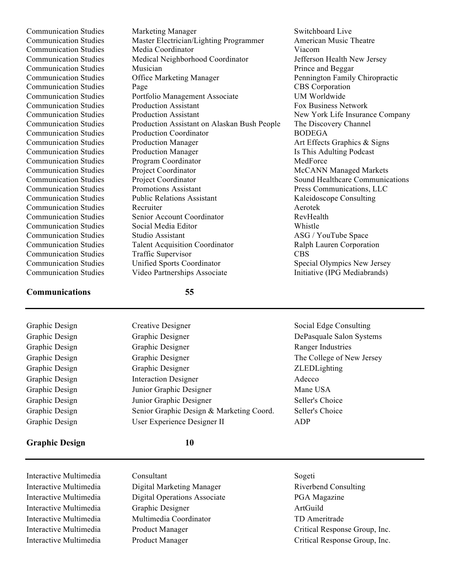Communication Studies Marketing Manager Switchboard Live Communication Studies Master Electrician/Lighting Programmer American Music Theatre Communication Studies Media Coordinator Viacom Communication Studies Medical Neighborhood Coordinator Jefferson Health New Jersey Communication Studies Musician Musician Prince and Beggar Communication Studies **Office Marketing Manager** Pennington Family Chiropractic **Communication Studies** Page Page CBS Corporation Communication Studies Portfolio Management Associate UM Worldwide Communication Studies Production Assistant Fox Business Network Communication Studies Production Assistant New York Life Insurance Company Communication Studies Production Assistant on Alaskan Bush People The Discovery Channel Communication Studies Production Coordinator BODEGA Communication Studies Production Manager Art Effects Graphics & Signs Communication Studies Production Manager **Is This Adulting Podcast** Communication Studies Program Coordinator MedForce Communication Studies Project Coordinator McCANN Managed Markets Communication Studies Project Coordinator Sound Healthcare Communications Communication Studies Promotions Assistant Press Communications, LLC Communication Studies Public Relations Assistant Kaleidoscope Consulting Communication Studies Recruiter Aerotek Communication Studies Senior Account Coordinator RevHealth Communication Studies Social Media Editor Whistle Communication Studies Studio Assistant ASG / YouTube Space Communication Studies Talent Acquisition Coordinator Ralph Lauren Corporation Communication Studies Traffic Supervisor CBS Communication Studies Unified Sports Coordinator Special Olympics New Jersey<br>
Communication Studies Video Partnerships Associate Initiative (IPG Mediabrands) Communication Studies Video Partnerships Associate

## **Communications 55**

| Graphic Design | Creative Designer                        | Social Edge Consulting    |
|----------------|------------------------------------------|---------------------------|
| Graphic Design | Graphic Designer                         | DePasquale Salon Systems  |
| Graphic Design | Graphic Designer                         | Ranger Industries         |
| Graphic Design | Graphic Designer                         | The College of New Jersey |
| Graphic Design | Graphic Designer                         | ZLEDLighting              |
| Graphic Design | <b>Interaction Designer</b>              | Adecco                    |
| Graphic Design | Junior Graphic Designer                  | Mane USA                  |
| Graphic Design | Junior Graphic Designer                  | Seller's Choice           |
| Graphic Design | Senior Graphic Design & Marketing Coord. | Seller's Choice           |
| Graphic Design | User Experience Designer II              | ADP                       |
|                |                                          |                           |

#### **Graphic Design 10**

Interactive Multimedia Consultant Sogeti Interactive Multimedia Digital Marketing Manager Riverbend Consulting Interactive Multimedia Digital Operations Associate PGA Magazine Interactive Multimedia Graphic Designer ArtGuild Interactive Multimedia Multimedia Coordinator TD Ameritrade

Interactive Multimedia Product Manager Critical Response Group, Inc. Interactive Multimedia Product Manager Critical Response Group, Inc.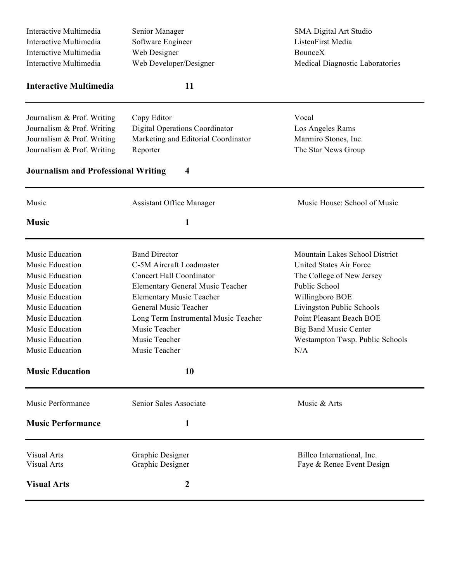| Interactive Multimedia                                                                | Senior Manager                        | SMA Digital Art Studio          |  |  |
|---------------------------------------------------------------------------------------|---------------------------------------|---------------------------------|--|--|
| Interactive Multimedia<br>Software Engineer<br>Web Designer<br>Interactive Multimedia |                                       | ListenFirst Media               |  |  |
|                                                                                       |                                       | <b>BounceX</b>                  |  |  |
| Interactive Multimedia<br>Web Developer/Designer                                      |                                       | Medical Diagnostic Laboratories |  |  |
| <b>Interactive Multimedia</b>                                                         | 11                                    |                                 |  |  |
| Journalism & Prof. Writing                                                            | Copy Editor                           | Vocal                           |  |  |
| Journalism & Prof. Writing                                                            | <b>Digital Operations Coordinator</b> | Los Angeles Rams                |  |  |
| Journalism & Prof. Writing                                                            | Marketing and Editorial Coordinator   | Marmiro Stones, Inc.            |  |  |
| Journalism & Prof. Writing                                                            | Reporter                              | The Star News Group             |  |  |
| <b>Journalism and Professional Writing</b>                                            | $\overline{\mathbf{4}}$               |                                 |  |  |
| Music                                                                                 | <b>Assistant Office Manager</b>       | Music House: School of Music    |  |  |
| <b>Music</b>                                                                          | $\mathbf{1}$                          |                                 |  |  |
| Music Education                                                                       | <b>Band Director</b>                  | Mountain Lakes School District  |  |  |
| Music Education                                                                       | C-5M Aircraft Loadmaster              | United States Air Force         |  |  |
| Music Education                                                                       | <b>Concert Hall Coordinator</b>       | The College of New Jersey       |  |  |
| Music Education                                                                       | Elementary General Music Teacher      | Public School                   |  |  |
| Music Education                                                                       | <b>Elementary Music Teacher</b>       | Willingboro BOE                 |  |  |
| Music Education                                                                       | General Music Teacher                 | Livingston Public Schools       |  |  |
| Music Education                                                                       | Long Term Instrumental Music Teacher  | Point Pleasant Beach BOE        |  |  |
| Music Education                                                                       | Music Teacher                         | <b>Big Band Music Center</b>    |  |  |
| Music Education                                                                       | Music Teacher                         | Westampton Twsp. Public Schools |  |  |
| Music Education                                                                       | Music Teacher                         | N/A                             |  |  |
| <b>Music Education</b>                                                                | 10                                    |                                 |  |  |
| Music Performance                                                                     | Senior Sales Associate                | Music & Arts                    |  |  |
| <b>Music Performance</b>                                                              | 1                                     |                                 |  |  |
| <b>Visual Arts</b>                                                                    | Graphic Designer                      | Billeo International, Inc.      |  |  |
| <b>Visual Arts</b><br>Graphic Designer                                                |                                       | Faye & Renee Event Design       |  |  |
| <b>Visual Arts</b>                                                                    | 2                                     |                                 |  |  |